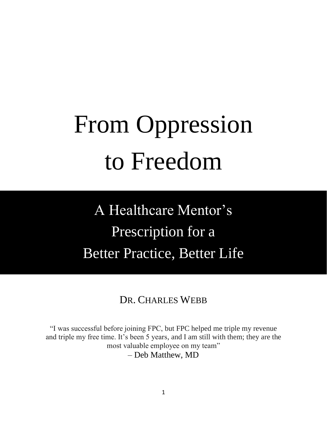# From Oppression to Freedom

A Healthcare Mentor's Prescription for a Better Practice, Better Life

DR. CHARLES WEBB

"I was successful before joining FPC, but FPC helped me triple my revenue and triple my free time. It's been 5 years, and I am still with them; they are the most valuable employee on my team" – Deb Matthew, MD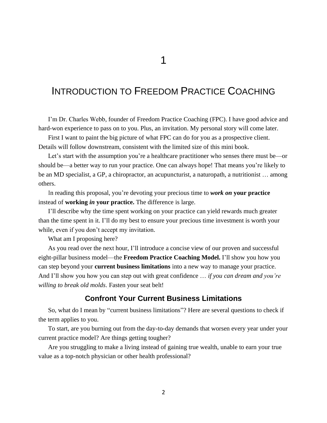# INTRODUCTION TO FREEDOM PRACTICE COACHING

I'm Dr. Charles Webb, founder of Freedom Practice Coaching (FPC). I have good advice and hard-won experience to pass on to you. Plus, an invitation. My personal story will come later.

First I want to paint the big picture of what FPC can do for you as a prospective client. Details will follow downstream, consistent with the limited size of this mini book.

Let's start with the assumption you're a healthcare practitioner who senses there must be—or should be—a better way to run your practice. One can always hope! That means you're likely to be an MD specialist, a GP, a chiropractor, an acupuncturist, a naturopath, a nutritionist … among others.

In reading this proposal, you're devoting your precious time to *work on* **your practice** instead of **working** *in* **your practice.** The difference is large.

I'll describe why the time spent working on your practice can yield rewards much greater than the time spent in it. I'll do my best to ensure your precious time investment is worth your while, even if you don't accept my invitation.

What am I proposing here?

As you read over the next hour, I'll introduce a concise view of our proven and successful eight-pillar business model—the **Freedom Practice Coaching Model.** I'll show you how you can step beyond your **current business limitations** into a new way to manage your practice. And I'll show you how you can step out with great confidence … *if you can dream and you're willing to break old molds*. Fasten your seat belt!

#### **Confront Your Current Business Limitations**

So, what do I mean by "current business limitations"? Here are several questions to check if the term applies to you.

To start, are you burning out from the day-to-day demands that worsen every year under your current practice model? Are things getting tougher?

Are you struggling to make a living instead of gaining true wealth, unable to earn your true value as a top-notch physician or other health professional?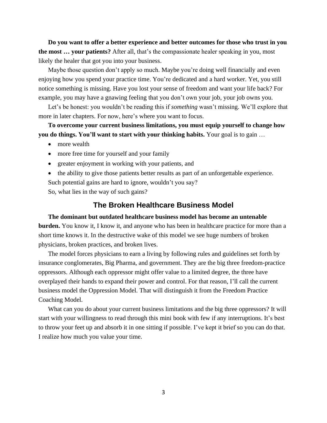**Do you want to offer a better experience and better outcomes for those who trust in you the most … your patients?** After all, that's the compassionate healer speaking in you, most likely the healer that got you into your business.

Maybe those question don't apply so much. Maybe you're doing well financially and even enjoying how you spend your practice time. You're dedicated and a hard worker. Yet, you still notice something is missing. Have you lost your sense of freedom and want your life back? For example, you may have a gnawing feeling that you don't own your job, your job owns you.

Let's be honest: you wouldn't be reading this if *something* wasn't missing. We'll explore that more in later chapters. For now, here's where you want to focus.

**To overcome your current business limitations, you must equip yourself to change how you do things. You'll want to start with your thinking habits.** Your goal is to gain …

- more wealth
- more free time for yourself and your family
- greater enjoyment in working with your patients, and
- the ability to give those patients better results as part of an unforgettable experience.

Such potential gains are hard to ignore, wouldn't you say?

So, what lies in the way of such gains?

#### **The Broken Healthcare Business Model**

**The dominant but outdated healthcare business model has become an untenable burden.** You know it, I know it, and anyone who has been in healthcare practice for more than a short time knows it. In the destructive wake of this model we see huge numbers of broken physicians, broken practices, and broken lives.

The model forces physicians to earn a living by following rules and guidelines set forth by insurance conglomerates, Big Pharma, and government. They are the big three freedom-practice oppressors. Although each oppressor might offer value to a limited degree, the three have overplayed their hands to expand their power and control. For that reason, I'll call the current business model the Oppression Model. That will distinguish it from the Freedom Practice Coaching Model.

What can you do about your current business limitations and the big three oppressors? It will start with your willingness to read through this mini book with few if any interruptions. It's best to throw your feet up and absorb it in one sitting if possible. I've kept it brief so you can do that. I realize how much you value your time.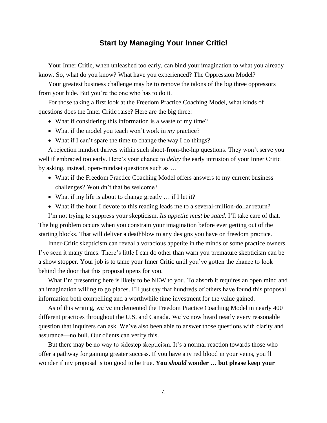## **Start by Managing Your Inner Critic!**

Your Inner Critic, when unleashed too early, can bind your imagination to what you already know. So, what do you know? What have you experienced? The Oppression Model?

Your greatest business challenge may be to remove the talons of the big three oppressors from your hide. But you're the one who has to do it.

For those taking a first look at the Freedom Practice Coaching Model, what kinds of questions does the Inner Critic raise? Here are the big three:

- What if considering this information is a waste of my time?
- What if the model you teach won't work in *my* practice?
- What if I can't spare the time to change the way I do things?

A rejection mindset thrives within such shoot-from-the-hip questions. They won't serve you well if embraced too early. Here's your chance to *delay* the early intrusion of your Inner Critic by asking, instead, open-mindset questions such as …

- What if the Freedom Practice Coaching Model offers answers to my current business challenges? Wouldn't that be welcome?
- What if my life is about to change greatly ... if I let it?
- What if the hour I devote to this reading leads me to a several-million-dollar return?

I'm not trying to suppress your skepticism. *Its appetite must be sated*. I'll take care of that. The big problem occurs when you constrain your imagination before ever getting out of the starting blocks. That will deliver a deathblow to any designs you have on freedom practice.

Inner-Critic skepticism can reveal a voracious appetite in the minds of some practice owners. I've seen it many times. There's little I can do other than warn you premature skepticism can be a show stopper. Your job is to tame your Inner Critic until you've gotten the chance to look behind the door that this proposal opens for you.

What I'm presenting here is likely to be NEW to you. To absorb it requires an open mind and an imagination willing to go places. I'll just say that hundreds of others have found this proposal information both compelling and a worthwhile time investment for the value gained.

As of this writing, we've implemented the Freedom Practice Coaching Model in nearly 400 different practices throughout the U.S. and Canada. We've now heard nearly every reasonable question that inquirers can ask. We've also been able to answer those questions with clarity and assurance—no bull. Our clients can verify this.

But there may be no way to sidestep skepticism. It's a normal reaction towards those who offer a pathway for gaining greater success. If you have any red blood in your veins, you'll wonder if my proposal is too good to be true. **You** *should* **wonder … but please keep your**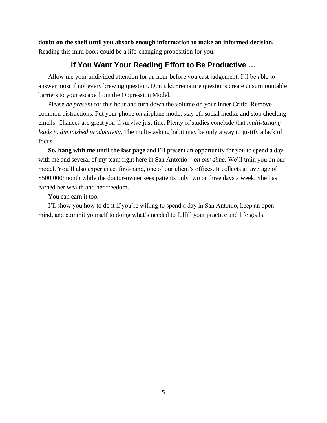**doubt on the shelf until you absorb enough information to make an informed decision.** Reading this mini book could be a life-changing proposition for you.

## **If You Want Your Reading Effort to Be Productive …**

Allow me your undivided attention for an hour before you cast judgement. I'll be able to answer most if not every brewing question. Don't let premature questions create unsurmountable barriers to your escape from the Oppression Model.

Please *be present* for this hour and turn down the volume on your Inner Critic. Remove common distractions. Put your phone on airplane mode, stay off social media, and stop checking emails. Chances are great you'll survive just fine. Plenty of studies conclude that *multi-tasking leads to diminished productivity*. The multi-tasking habit may be only a way to justify a lack of focus.

**So, hang with me until the last page** and I'll present an opportunity for you to spend a day with me and several of my team right here in San Antonio—*on our dime*. We'll train you on our model. You'll also experience, first-hand, one of our client's offices. It collects an average of \$500,000/month while the doctor-owner sees patients only two or three days a week. She has earned her wealth and her freedom.

You can earn it too.

I'll show you how to do it if you're willing to spend a day in San Antonio, keep an open mind, and commit yourself to doing what's needed to fulfill your practice and life goals.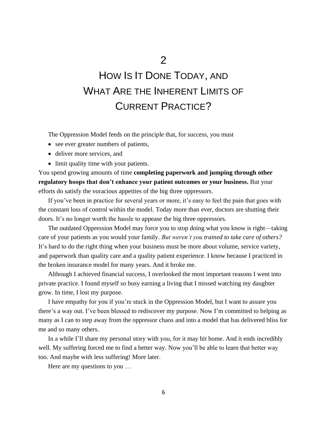# HOW IS IT DONE TODAY, AND WHAT ARE THE INHERENT LIMITS OF CURRENT PRACTICE?

The Oppression Model feeds on the principle that, for success, you must

- see ever greater numbers of patients,
- deliver more services, and
- limit quality time with your patients.

You spend growing amounts of time **completing paperwork and jumping through other regulatory hoops that don't enhance your patient outcomes or your business.** But your efforts do satisfy the voracious appetites of the big three oppressors.

If you've been in practice for several years or more, it's easy to feel the pain that goes with the constant loss of control within the model. Today more than ever, doctors are shutting their doors. It's no longer worth the hassle to appease the big three oppressors.

The outdated Oppression Model may force you to stop doing what you know is right—taking care of your patients as you would your family. *But weren't you trained to take care of others?* It's hard to do the right thing when your business must be more about volume, service variety, and paperwork than quality care and a quality patient experience. I know because I practiced in the broken insurance model for many years. And it broke me.

Although I achieved financial success, I overlooked the most important reasons I went into private practice. I found myself so busy earning a living that I missed watching my daughter grow. In time, I lost my purpose.

I have empathy for you if you're stuck in the Oppression Model, but I want to assure you there's a way out. I've been blessed to rediscover my purpose. Now I'm committed to helping as many as I can to step away from the oppressor chaos and into a model that has delivered bliss for me and so many others.

In a while I'll share my personal story with you, for it may hit home. And it ends incredibly well. My suffering forced me to find a better way. Now you'll be able to learn that better way too. And maybe with less suffering! More later.

Here are my questions to you …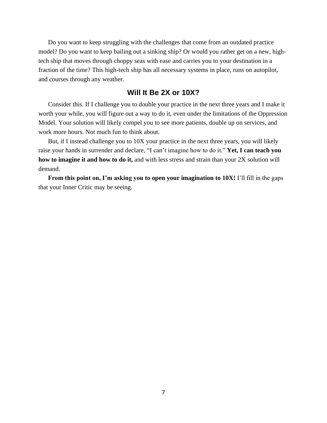Do you want to keep struggling with the challenges that come from an outdated practice model? Do you want to keep bailing out a sinking ship? Or would you rather get on a new, hightech ship that moves through choppy seas with ease and carries you to your destination in a fraction of the time? This high-tech ship has all necessary systems in place, runs on autopilot, and courses through any weather.

#### **Will It Be 2X or 10X?**

Consider this. If I challenge you to double your practice in the next three years and I make it worth your while, you will figure out a way to do it, even under the limitations of the Oppression Model. Your solution will likely compel you to see more patients, double up on services, and work more hours. Not much fun to think about.

But, if I instead challenge you to 10X your practice in the next three years, you will likely raise your hands in surrender and declare, "I can't imagine how to do it." **Yet, I can teach you how to imagine it and how to do it,** and with less stress and strain than your 2X solution will demand.

**From this point on, I'm asking you to open your imagination to 10X!** I'll fill in the gaps that your Inner Critic may be seeing.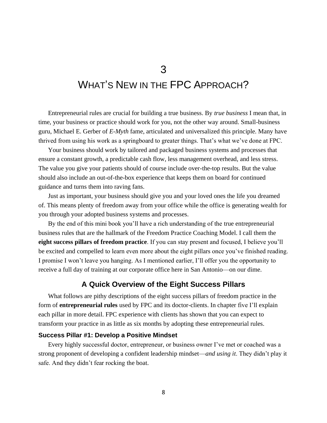# 3 WHAT'S NEW IN THE FPC APPROACH?

Entrepreneurial rules are crucial for building a true business. By *true business* I mean that, in time, your business or practice should work for you, not the other way around. Small-business guru, Michael E. Gerber of *E-Myth* fame, articulated and universalized this principle. Many have thrived from using his work as a springboard to greater things. That's what we've done at FPC.

Your business should work by tailored and packaged business systems and processes that ensure a constant growth, a predictable cash flow, less management overhead, and less stress. The value you give your patients should of course include over-the-top results. But the value should also include an out-of-the-box experience that keeps them on board for continued guidance and turns them into raving fans.

Just as important, your business should give you and your loved ones the life you dreamed of. This means plenty of freedom away from your office while the office is generating wealth for you through your adopted business systems and processes.

By the end of this mini book you'll have a rich understanding of the true entrepreneurial business rules that are the hallmark of the Freedom Practice Coaching Model. I call them the **eight success pillars of freedom practice**. If you can stay present and focused, I believe you'll be excited and compelled to learn even more about the eight pillars once you've finished reading. I promise I won't leave you hanging. As I mentioned earlier, I'll offer you the opportunity to receive a full day of training at our corporate office here in San Antonio—on our dime.

#### **A Quick Overview of the Eight Success Pillars**

What follows are pithy descriptions of the eight success pillars of freedom practice in the form of **entrepreneurial rules** used by FPC and its doctor-clients. In chapter five I'll explain each pillar in more detail. FPC experience with clients has shown that you can expect to transform your practice in as little as six months by adopting these entrepreneurial rules.

#### **Success Pillar #1: Develop a Positive Mindset**

Every highly successful doctor, entrepreneur, or business owner I've met or coached was a strong proponent of developing a confident leadership mindset—*and using it*. They didn't play it safe. And they didn't fear rocking the boat.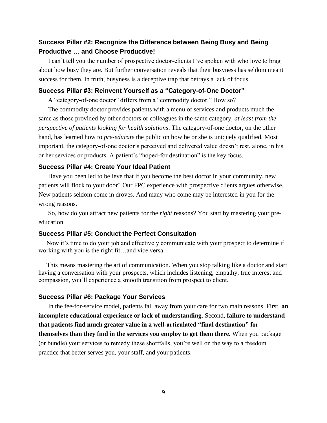#### **Success Pillar #2: Recognize the Difference between Being Busy and Being Productive** … **and Choose Productive!**

I can't tell you the number of prospective doctor-clients I've spoken with who love to brag about how busy they are. But further conversation reveals that their busyness has seldom meant success for them. In truth, busyness is a deceptive trap that betrays a lack of focus.

#### **Success Pillar #3: Reinvent Yourself as a "Category-of-One Doctor"**

A "category-of-one doctor" differs from a "commodity doctor." How so?

The commodity doctor provides patients with a menu of services and products much the same as those provided by other doctors or colleagues in the same category, *at least from the perspective of patients looking for health solutions*. The category-of-one doctor, on the other hand, has learned how to *pre-educate* the public on how he or she is uniquely qualified. Most important, the category-of-one doctor's perceived and delivered value doesn't rest, alone, in his or her services or products. A patient's "hoped-for destination" is the key focus.

#### **Success Pillar #4: Create Your Ideal Patient**

Have you been led to believe that if you become the best doctor in your community, new patients will flock to your door? Our FPC experience with prospective clients argues otherwise. New patients seldom come in droves. And many who come may be interested in you for the wrong reasons.

So, how do you attract new patients for the *right* reasons? You start by mastering your preeducation.

#### **Success Pillar #5: Conduct the Perfect Consultation**

 Now it's time to do your job and effectively communicate with your prospect to determine if working with you is the right fit…and vice versa.

 This means mastering the art of communication. When you stop talking like a doctor and start having a conversation with your prospects, which includes listening, empathy, true interest and compassion, you'll experience a smooth transition from prospect to client.

#### **Success Pillar #6: Package Your Services**

In the fee-for-service model, patients fall away from your care for two main reasons. First, **an incomplete educational experience or lack of understanding**. Second, **failure to understand that patients find much greater value in a well-articulated "final destination" for themselves than they find in the services you employ to get them there.** When you package (or bundle) your services to remedy these shortfalls, you're well on the way to a freedom practice that better serves you, your staff, and your patients.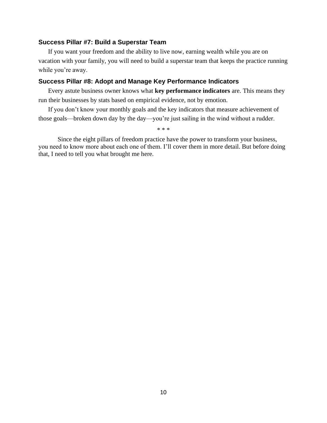#### **Success Pillar #7: Build a Superstar Team**

If you want your freedom and the ability to live now, earning wealth while you are on vacation with your family, you will need to build a superstar team that keeps the practice running while you're away.

#### **Success Pillar #8: Adopt and Manage Key Performance Indicators**

Every astute business owner knows what **key performance indicators** are. This means they run their businesses by stats based on empirical evidence, not by emotion.

If you don't know your monthly goals and the key indicators that measure achievement of those goals—broken down day by the day—you're just sailing in the wind without a rudder.

\* \* \*

Since the eight pillars of freedom practice have the power to transform your business, you need to know more about each one of them. I'll cover them in more detail. But before doing that, I need to tell you what brought me here.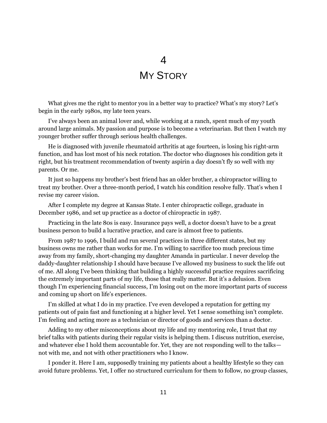## 4

# **MY STORY**

What gives me the right to mentor you in a better way to practice? What's my story? Let's begin in the early 1980s, my late teen years.

I've always been an animal lover and, while working at a ranch, spent much of my youth around large animals. My passion and purpose is to become a veterinarian. But then I watch my younger brother suffer through serious health challenges.

He is diagnosed with juvenile rheumatoid arthritis at age fourteen, is losing his right-arm function, and has lost most of his neck rotation. The doctor who diagnoses his condition gets it right, but his treatment recommendation of twenty aspirin a day doesn't fly so well with my parents. Or me.

It just so happens my brother's best friend has an older brother, a chiropractor willing to treat my brother. Over a three-month period, I watch his condition resolve fully. That's when I revise my career vision.

After I complete my degree at Kansas State. I enter chiropractic college, graduate in December 1986, and set up practice as a doctor of chiropractic in 1987.

Practicing in the late 80s is easy. Insurance pays well, a doctor doesn't have to be a great business person to build a lucrative practice, and care is almost free to patients.

From 1987 to 1996, I build and run several practices in three different states, but my business owns me rather than works for me. I'm willing to sacrifice too much precious time away from my family, short-changing my daughter Amanda in particular. I never develop the daddy-daughter relationship I should have because I've allowed my business to suck the life out of me. All along I've been thinking that building a highly successful practice requires sacrificing the extremely important parts of my life, those that really matter. But it's a delusion. Even though I'm experiencing financial success, I'm losing out on the more important parts of success and coming up short on life's experiences.

I'm skilled at what I do in my practice. I've even developed a reputation for getting my patients out of pain fast and functioning at a higher level. Yet I sense something isn't complete. I'm feeling and acting more as a technician or director of goods and services than a doctor.

Adding to my other misconceptions about my life and my mentoring role, I trust that my brief talks with patients during their regular visits is helping them. I discuss nutrition, exercise, and whatever else I hold them accountable for. Yet, they are not responding well to the talks not with me, and not with other practitioners who I know.

I ponder it. Here I am, supposedly training my patients about a healthy lifestyle so they can avoid future problems. Yet, I offer no structured curriculum for them to follow, no group classes,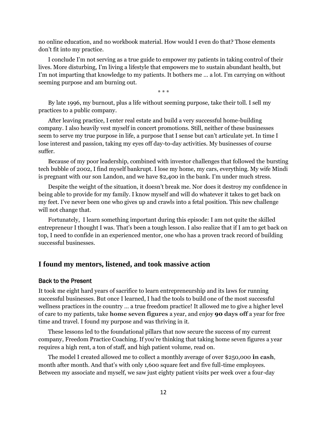no online education, and no workbook material. How would I even do that? Those elements don't fit into my practice.

I conclude I'm not serving as a true guide to empower my patients in taking control of their lives. More disturbing, I'm living a lifestyle that empowers me to sustain abundant health, but I'm not imparting that knowledge to my patients. It bothers me … a lot. I'm carrying on without seeming purpose and am burning out.

\* \* \*

By late 1996, my burnout, plus a life without seeming purpose, take their toll. I sell my practices to a public company.

After leaving practice, I enter real estate and build a very successful home-building company. I also heavily vest myself in concert promotions. Still, neither of these businesses seem to serve my true purpose in life, a purpose that I sense but can't articulate yet. In time I lose interest and passion, taking my eyes off day-to-day activities. My businesses of course suffer.

Because of my poor leadership, combined with investor challenges that followed the bursting tech bubble of 2002, I find myself bankrupt. I lose my home, my cars, everything. My wife Mindi is pregnant with our son Landon, and we have \$2,400 in the bank. I'm under much stress.

Despite the weight of the situation, it doesn't break me. Nor does it destroy my confidence in being able to provide for my family. I know myself and will do whatever it takes to get back on my feet. I've never been one who gives up and crawls into a fetal position. This new challenge will not change that.

Fortunately, I learn something important during this episode: I am not quite the skilled entrepreneur I thought I was. That's been a tough lesson. I also realize that if I am to get back on top, I need to confide in an experienced mentor, one who has a proven track record of building successful businesses.

#### **I found my mentors, listened, and took massive action**

#### Back to the Present

It took me eight hard years of sacrifice to learn entrepreneurship and its laws for running successful businesses. But once I learned, I had the tools to build one of the most successful wellness practices in the country … a true freedom practice! It allowed me to give a higher level of care to my patients, take **home seven figures** a year, and enjoy **90 days off** a year for free time and travel. I found my purpose and was thriving in it.

These lessons led to the foundational pillars that now secure the success of my current company, Freedom Practice Coaching. If you're thinking that taking home seven figures a year requires a high rent, a ton of staff, and high patient volume, read on.

The model I created allowed me to collect a monthly average of over \$250,000 **in cash**, month after month. And that's with only 1,600 square feet and five full-time employees. Between my associate and myself, we saw just eighty patient visits per week over a four-day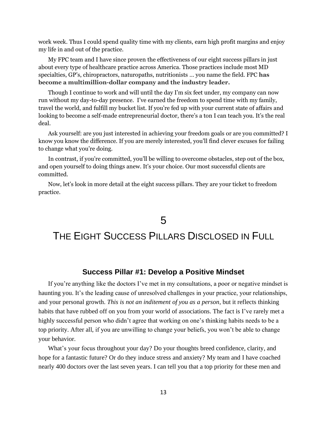work week. Thus I could spend quality time with my clients, earn high profit margins and enjoy my life in and out of the practice.

My FPC team and I have since proven the effectiveness of our eight success pillars in just about every type of healthcare practice across America. Those practices include most MD specialties, GP's, chiropractors, naturopaths, nutritionists … you name the field. FPC **has become a multimillion-dollar company and the industry leader.**

Though I continue to work and will until the day I'm six feet under, my company can now run without my day-to-day presence. I've earned the freedom to spend time with my family, travel the world, and fulfill my bucket list. If you're fed up with your current state of affairs and looking to become a self-made entrepreneurial doctor, there's a ton I can teach you. It's the real deal.

Ask yourself: are you just interested in achieving your freedom goals or are you committed? I know you know the difference. If you are merely interested, you'll find clever excuses for failing to change what you're doing.

In contrast, if you're committed, you'll be willing to overcome obstacles, step out of the box, and open yourself to doing things anew. It's your choice. Our most successful clients are committed.

Now, let's look in more detail at the eight success pillars. They are your ticket to freedom practice.

# 5

# THE EIGHT SUCCESS PILLARS DISCLOSED IN FULL

#### **Success Pillar #1: Develop a Positive Mindset**

If you're anything like the doctors I've met in my consultations, a poor or negative mindset is haunting you. It's the leading cause of unresolved challenges in your practice, your relationships, and your personal growth. *This is not an inditement of you as a person*, but it reflects thinking habits that have rubbed off on you from your world of associations. The fact is I've rarely met a highly successful person who didn't agree that working on one's thinking habits needs to be a top priority. After all, if you are unwilling to change your beliefs, you won't be able to change your behavior.

What's your focus throughout your day? Do your thoughts breed confidence, clarity, and hope for a fantastic future? Or do they induce stress and anxiety? My team and I have coached nearly 400 doctors over the last seven years. I can tell you that a top priority for these men and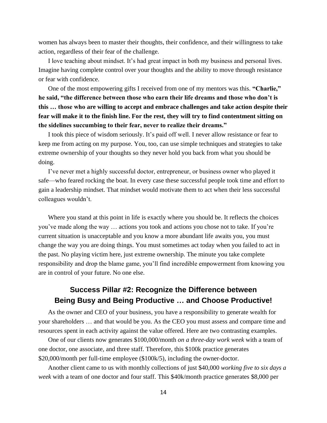women has always been to master their thoughts, their confidence, and their willingness to take action, regardless of their fear of the challenge.

I love teaching about mindset. It's had great impact in both my business and personal lives. Imagine having complete control over your thoughts and the ability to move through resistance or fear with confidence.

One of the most empowering gifts I received from one of my mentors was this. **"Charlie," he said, "the difference between those who earn their life dreams and those who don't is this … those who are willing to accept and embrace challenges and take action despite their fear will make it to the finish line. For the rest, they will try to find contentment sitting on the sidelines succumbing to their fear, never to realize their dreams."**

I took this piece of wisdom seriously. It's paid off well. I never allow resistance or fear to keep me from acting on my purpose. You, too, can use simple techniques and strategies to take extreme ownership of your thoughts so they never hold you back from what you should be doing.

I've never met a highly successful doctor, entrepreneur, or business owner who played it safe—who feared rocking the boat. In every case these successful people took time and effort to gain a leadership mindset. That mindset would motivate them to act when their less successful colleagues wouldn't.

Where you stand at this point in life is exactly where you should be. It reflects the choices you've made along the way … actions you took and actions you chose not to take. If you're current situation is unacceptable and you know a more abundant life awaits you, you must change the way you are doing things. You must sometimes act today when you failed to act in the past. No playing victim here, just extreme ownership. The minute you take complete responsibility and drop the blame game, you'll find incredible empowerment from knowing you are in control of your future. No one else.

## **Success Pillar #2: Recognize the Difference between Being Busy and Being Productive … and Choose Productive!**

As the owner and CEO of your business, you have a responsibility to generate wealth for your shareholders … and that would be you. As the CEO you must assess and compare time and resources spent in each activity against the value offered. Here are two contrasting examples.

One of our clients now generates \$100,000/month *on a three-day work week* with a team of one doctor, one associate, and three staff. Therefore, this \$100k practice generates \$20,000/month per full-time employee (\$100k/5), including the owner-doctor.

Another client came to us with monthly collections of just \$40,000 *working five to six days a week* with a team of one doctor and four staff. This \$40k/month practice generates \$8,000 per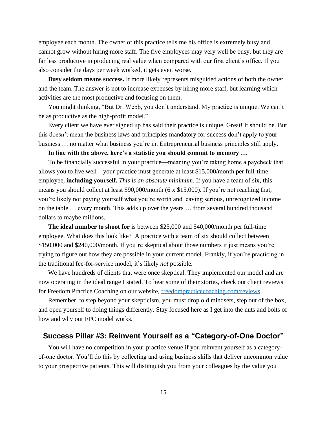employee each month. The owner of this practice tells me his office is extremely busy and cannot grow without hiring more staff. The five employees may very well be busy, but they are far less productive in producing real value when compared with our first client's office. If you also consider the days per week worked, it gets even worse.

**Busy seldom means success.** It more likely represents misguided actions of both the owner and the team. The answer is not to increase expenses by hiring more staff, but learning which activities are the most productive and focusing on them.

You might thinking, "But Dr. Webb, you don't understand. My practice is unique. We can't be as productive as the high-profit model."

Every client we have ever signed up has said their practice is unique. Great! It should be. But this doesn't mean the business laws and principles mandatory for success don't apply to your business … no matter what business you're in. Entrepreneurial business principles still apply.

**In line with the above, here's a statistic you should commit to memory …**

To be financially successful in your practice—meaning you're taking home a paycheck that allows you to live well—your practice must generate at least \$15,000/month per full-time employee, **including yourself.** *This is an absolute minimum.* If you have a team of six, this means you should collect at least \$90,000/month (6 x \$15,000). If you're not reaching that, you're likely not paying yourself what you're worth and leaving serious, unrecognized income on the table … every month. This adds up over the years … from several hundred thousand dollars to maybe millions.

**The ideal number to shoot for** is between \$25,000 and \$40,000/month per full-time employee. What does this look like? A practice with a team of six should collect between \$150,000 and \$240,000/month. If you're skeptical about those numbers it just means you're trying to figure out how they are possible in your current model. Frankly, if you're practicing in the traditional fee-for-service model, it's likely *not* possible.

We have hundreds of clients that were once skeptical. They implemented our model and are now operating in the ideal range I stated. To hear some of their stories, check out client reviews for Freedom Practice Coaching on our website, freedompracticecoaching.com/reviews.

Remember, to step beyond your skepticism, you must drop old mindsets, step out of the box, and open yourself to doing things differently. Stay focused here as I get into the nuts and bolts of how and why our FPC model works.

#### **Success Pillar #3: Reinvent Yourself as a "Category-of-One Doctor"**

You will have no competition in your practice venue if you reinvent yourself as a categoryof-one doctor. You'll do this by collecting and using business skills that deliver uncommon value to your prospective patients. This will distinguish you from your colleagues by the value you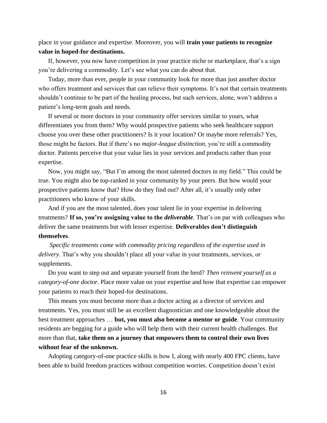#### place in your guidance and expertise. Moreover, you will **train your patients to recognize value in hoped-for destinations.**

If, however, you now have competition in your practice niche or marketplace, that's a sign you're delivering a commodity. Let's see what you can do about that.

Today, more than ever, people in your community look for more than just another doctor who offers treatment and services that can relieve their symptoms. It's not that certain treatments shouldn't continue to be part of the healing process, but such services, alone, won't address a patient's long-term goals and needs.

If several or more doctors in your community offer services similar to yours, what differentiates you from them? Why would prospective patients who seek healthcare support choose you over these other practitioners? Is it your location? Or maybe more referrals? Yes, those might be factors. But if there's no *major-league distinction*, you're still a commodity doctor. Patients perceive that your value lies in your services and products rather than your expertise.

Now, you might say, "But I'm among the most talented doctors in my field." This could be true. You might also be top-ranked in your community by your peers. But how would your prospective patients know that? How do they find out? After all, it's usually only other practitioners who know of your skills.

And if you are the most talented, does your talent lie in your expertise in delivering treatments? **If so, you're assigning value to the** *deliverable*. That's on par with colleagues who deliver the same treatments but with lesser expertise. **Deliverables don't distinguish themselves**.

*Specific treatments come with commodity pricing regardless of the expertise used in delivery*. That's why you shouldn't place all your value in your treatments, services, or supplements.

Do you want to step out and separate yourself from the herd? *Then reinvent yourself as a category-of-one doctor.* Place more value on your expertise and how that expertise can empower your patients to reach their hoped-for destinations.

This means you must become more than a doctor acting as a director of services and treatments. Yes, you must still be an excellent diagnostician and one knowledgeable about the best treatment approaches … **but, you must also become a mentor or guide**. Your community residents are begging for a guide who will help them with their current health challenges. But more than that, **take them on a journey that empowers them to control their own lives without fear of the unknown.** 

Adopting category-of-one practice skills is how I, along with nearly 400 FPC clients, have been able to build freedom practices without competition worries. Competition doesn't exist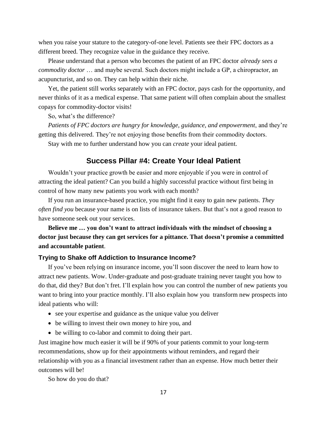when you raise your stature to the category-of-one level. Patients see their FPC doctors as a different breed. They recognize value in the guidance they receive.

Please understand that a person who becomes the patient of an FPC doctor *already sees a commodity doctor* … and maybe several. Such doctors might include a GP, a chiropractor, an acupuncturist, and so on. They can help within their niche.

Yet, the patient still works separately with an FPC doctor, pays cash for the opportunity, and never thinks of it as a medical expense. That same patient will often complain about the smallest copays for commodity-doctor visits!

So, what's the difference?

*Patients of FPC doctors are hungry for knowledge, guidance, and empowerment*, and they're getting this delivered. They're not enjoying those benefits from their commodity doctors.

Stay with me to further understand how you can *create* your ideal patient.

#### **Success Pillar #4: Create Your Ideal Patient**

Wouldn't your practice growth be easier and more enjoyable if you were in control of attracting the ideal patient? Can you build a highly successful practice without first being in control of how many new patients you work with each month?

If you run an insurance-based practice, you might find it easy to gain new patients. *They often find you* because your name is on lists of insurance takers. But that's not a good reason to have someone seek out your services.

### **Believe me … you don't want to attract individuals with the mindset of choosing a doctor just because they can get services for a pittance. That doesn't promise a committed and accountable patient**.

#### **Trying to Shake off Addiction to Insurance Income?**

If you've been relying on insurance income, you'll soon discover the need to learn how to attract new patients. Wow. Under-graduate and post-graduate training never taught you how to do that, did they? But don't fret. I'll explain how you can control the number of new patients you want to bring into your practice monthly. I'll also explain how you transform new prospects into ideal patients who will:

- see your expertise and guidance as the unique value you deliver
- be willing to invest their own money to hire you, and
- be willing to co-labor and commit to doing their part.

Just imagine how much easier it will be if 90% of your patients commit to your long-term recommendations, show up for their appointments without reminders, and regard their relationship with you as a financial investment rather than an expense. How much better their outcomes will be!

So how do you do that?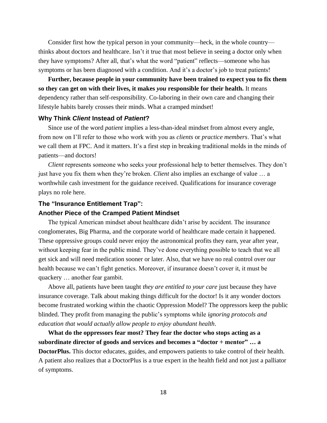Consider first how the typical person in your community—heck, in the whole country thinks about doctors and healthcare. Isn't it true that most believe in seeing a doctor only when they have symptoms? After all, that's what the word "patient" reflects—someone who has symptoms or has been diagnosed with a condition. And it's a doctor's job to treat patients!

**Further, because people in your community have been trained to expect you to fix them so they can get on with their lives, it makes** *you* **responsible for their health.** It means dependency rather than self-responsibility. Co-laboring in their own care and changing their lifestyle habits barely crosses their minds. What a cramped mindset!

#### **Why Think** *Client* **Instead of** *Patient***?**

Since use of the word *patient* implies a less-than-ideal mindset from almost every angle, from now on I'll refer to those who work with you as *clients* or *practice members*. That's what we call them at FPC. And it matters. It's a first step in breaking traditional molds in the minds of patients—and doctors!

*Client* represents someone who seeks your professional help to better themselves. They don't just have you fix them when they're broken. *Client* also implies an exchange of value … a worthwhile cash investment for the guidance received. Qualifications for insurance coverage plays no role here.

#### **The "Insurance Entitlement Trap":**

#### **Another Piece of the Cramped Patient Mindset**

The typical American mindset about healthcare didn't arise by accident. The insurance conglomerates, Big Pharma, and the corporate world of healthcare made certain it happened. These oppressive groups could never enjoy the astronomical profits they earn, year after year, without keeping fear in the public mind. They've done everything possible to teach that we all get sick and will need medication sooner or later. Also, that we have no real control over our health because we can't fight genetics. Moreover, if insurance doesn't cover it, it must be quackery … another fear gambit.

Above all, patients have been taught *they are entitled to your care* just because they have insurance coverage. Talk about making things difficult for the doctor! Is it any wonder doctors become frustrated working within the chaotic Oppression Model? The oppressors keep the public blinded. They profit from managing the public's symptoms while *ignoring protocols and education that would actually allow people to enjoy abundant health*.

**What do the oppressors fear most? They fear the doctor who stops acting as a subordinate director of goods and services and becomes a "doctor + mentor" … a DoctorPlus.** This doctor educates, guides, and empowers patients to take control of their health. A patient also realizes that a DoctorPlus is a true expert in the health field and not just a palliator of symptoms.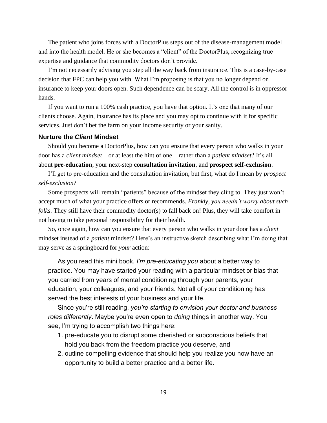The patient who joins forces with a DoctorPlus steps out of the disease-management model and into the health model. He or she becomes a "client" of the DoctorPlus, recognizing true expertise and guidance that commodity doctors don't provide.

I'm not necessarily advising you step all the way back from insurance. This is a case-by-case decision that FPC can help you with. What I'm proposing is that you no longer depend on insurance to keep your doors open. Such dependence can be scary. All the control is in oppressor hands.

If you want to run a 100% cash practice, you have that option. It's one that many of our clients choose. Again, insurance has its place and you may opt to continue with it for specific services. Just don't bet the farm on your income security or your sanity.

#### **Nurture the** *Client* **Mindset**

Should you become a DoctorPlus, how can you ensure that every person who walks in your door has a *client mindset*—or at least the hint of one—rather than a *patient mindset*? It's all about **pre-education**, your next-step **consultation invitation**, and **prospect self-exclusion**.

I'll get to pre-education and the consultation invitation, but first, what do I mean by *prospect self-exclusion*?

Some prospects will remain "patients" because of the mindset they cling to. They just won't accept much of what your practice offers or recommends. *Frankly*, *you needn't worry about such folks.* They still have their commodity doctor(s) to fall back on! Plus, they will take comfort in not having to take personal responsibility for their health.

So, once again, how can you ensure that every person who walks in your door has a *client* mindset instead of a *patient* mindset? Here's an instructive sketch describing what I'm doing that may serve as a springboard for *your* action:

As you read this mini book, *I'm pre-educating you* about a better way to practice. You may have started your reading with a particular mindset or bias that you carried from years of mental conditioning through your parents, your education, your colleagues, and your friends. Not all of your conditioning has served the best interests of your business and your life.

Since you're still reading, *you're starting to envision your doctor and business roles differently*. Maybe you're even open to *doing* things in another way. You see, I'm trying to accomplish two things here:

- 1. pre-educate you to disrupt some cherished or subconscious beliefs that hold you back from the freedom practice you deserve, and
- 2. outline compelling evidence that should help you realize you now have an opportunity to build a better practice and a better life.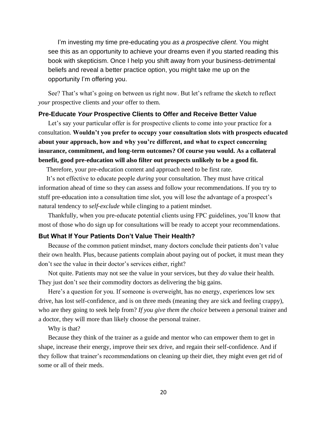I'm investing my time pre-educating you *as a prospective client*. You might see this as an opportunity to achieve your dreams even if you started reading this book with skepticism. Once I help you shift away from your business-detrimental beliefs and reveal a better practice option, you might take me up on the opportunity I'm offering you.

See? That's what's going on between us right now. But let's reframe the sketch to reflect *your* prospective clients and *your* offer to them.

#### **Pre-Educate** *Your* **Prospective Clients to Offer and Receive Better Value**

Let's say your particular offer is for prospective clients to come into your practice for a consultation. **Wouldn't you prefer to occupy your consultation slots with prospects educated about your approach, how and why you're different, and what to expect concerning insurance, commitment, and long-term outcomes? Of course you would. As a collateral benefit, good pre-education will also filter out prospects unlikely to be a good fit.** 

Therefore, your pre-education content and approach need to be first rate.

 It's not effective to educate people *during* your consultation. They must have critical information ahead of time so they can assess and follow your recommendations. If you try to stuff pre-education into a consultation time slot, you will lose the advantage of a prospect's natural tendency to *self-exclude* while clinging to a patient mindset.

Thankfully, when you pre-educate potential clients using FPC guidelines, you'll know that most of those who do sign up for consultations will be ready to accept your recommendations.

#### **But What If Your Patients Don't Value Their Health?**

Because of the common patient mindset, many doctors conclude their patients don't value their own health. Plus, because patients complain about paying out of pocket, it must mean they don't see the value in their doctor's services either, right?

Not quite. Patients may not see the value in your services, but they *do* value their health. They just don't see their commodity doctors as delivering the big gains.

Here's a question for you. If someone is overweight, has no energy, experiences low sex drive, has lost self-confidence, and is on three meds (meaning they are sick and feeling crappy), who are they going to seek help from? *If you give them the choice* between a personal trainer and a doctor, they will more than likely choose the personal trainer.

Why is that?

Because they think of the trainer as a guide and mentor who can empower them to get in shape, increase their energy, improve their sex drive, and regain their self-confidence. And if they follow that trainer's recommendations on cleaning up their diet, they might even get rid of some or all of their meds.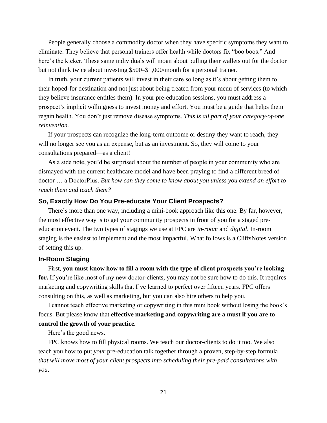People generally choose a commodity doctor when they have specific symptoms they want to eliminate. They believe that personal trainers offer health while doctors fix "boo boos." And here's the kicker. These same individuals will moan about pulling their wallets out for the doctor but not think twice about investing \$500–\$1,000/month for a personal trainer.

In truth, your current patients will invest in their care so long as it's about getting them to their hoped-for destination and not just about being treated from your menu of services (to which they believe insurance entitles them). In your pre-education sessions, you must address a prospect's implicit willingness to invest money and effort. You must be a guide that helps them regain health. You don't just remove disease symptoms. *This is all part of your category-of-one reinvention.*

If your prospects can recognize the long-term outcome or destiny they want to reach, they will no longer see you as an expense, but as an investment. So, they will come to your consultations prepared—as a client!

As a side note, you'd be surprised about the number of people in your community who are dismayed with the current healthcare model and have been praying to find a different breed of doctor … a DoctorPlus. *But how can they come to know about you unless you extend an effort to reach them and teach them?*

#### **So, Exactly How Do You Pre-educate Your Client Prospects?**

There's more than one way, including a mini-book approach like this one. By far, however, the most effective way is to get your community prospects in front of you for a staged preeducation event. The two types of stagings we use at FPC are *in-room* and *digital*. In-room staging is the easiest to implement and the most impactful. What follows is a CliffsNotes version of setting this up.

#### **In-Room Staging**

First, **you must know how to fill a room with the type of client prospects you're looking for.** If you're like most of my new doctor-clients, you may not be sure how to do this. It requires marketing and copywriting skills that I've learned to perfect over fifteen years. FPC offers consulting on this, as well as marketing, but you can also hire others to help you.

I cannot teach effective marketing or copywriting in this mini book without losing the book's focus. But please know that **effective marketing and copywriting are a must if you are to control the growth of your practice.**

Here's the good news.

FPC knows how to fill physical rooms. We teach our doctor-clients to do it too. We also teach you how to put *your* pre-education talk together through a proven, step-by-step formula *that will move most of your client prospects into scheduling their pre-paid consultations with you*.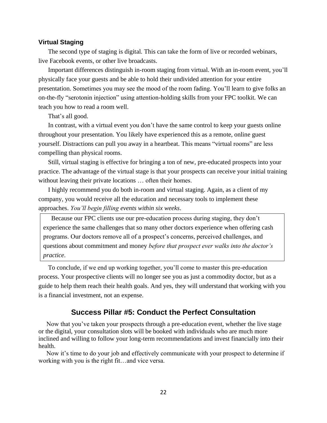#### **Virtual Staging**

The second type of staging is digital. This can take the form of live or recorded webinars, live Facebook events, or other live broadcasts.

Important differences distinguish in-room staging from virtual. With an in-room event, you'll physically face your guests and be able to hold their undivided attention for your entire presentation. Sometimes you may see the mood of the room fading. You'll learn to give folks an on-the-fly "serotonin injection" using attention-holding skills from your FPC toolkit. We can teach you how to read a room well.

That's all good.

In contrast, with a virtual event you don't have the same control to keep your guests online throughout your presentation. You likely have experienced this as a remote, online guest yourself. Distractions can pull you away in a heartbeat. This means "virtual rooms" are less compelling than physical rooms.

Still, virtual staging is effective for bringing a ton of new, pre-educated prospects into your practice. The advantage of the virtual stage is that your prospects can receive your initial training without leaving their private locations … often their homes.

I highly recommend you do both in-room and virtual staging. Again, as a client of my company, you would receive all the education and necessary tools to implement these approaches. *You'll begin filling events within six weeks*.

 Because our FPC clients use our pre-education process during staging, they don't experience the same challenges that so many other doctors experience when offering cash programs. Our doctors remove all of a prospect's concerns, perceived challenges, and questions about commitment and money *before that prospect ever walks into the doctor's practice*.

To conclude, if we end up working together, you'll come to master this pre-education process. Your prospective clients will no longer see you as just a commodity doctor, but as a guide to help them reach their health goals. And yes, they will understand that working with you is a financial investment, not an expense.

#### **Success Pillar #5: Conduct the Perfect Consultation**

 Now that you've taken your prospects through a pre-education event, whether the live stage or the digital, your consultation slots will be booked with individuals who are much more inclined and willing to follow your long-term recommendations and invest financially into their health.

 Now it's time to do your job and effectively communicate with your prospect to determine if working with you is the right fit…and vice versa.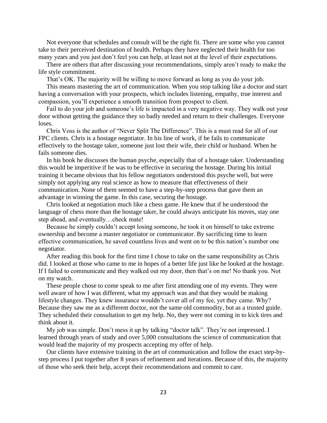Not everyone that schedules and consult will be the right fit. There are some who you cannot take to their perceived destination of health. Perhaps they have neglected their health for too many years and you just don't feel you can help, at least not at the level of their expectations.

 There are others that after discussing your recommendations, simply aren't ready to make the life style commitment.

That's OK. The majority will be willing to move forward as long as you do your job.

 This means mastering the art of communication. When you stop talking like a doctor and start having a conversation with your prospects, which includes listening, empathy, true interest and compassion, you'll experience a smooth transition from prospect to client.

 Fail to do your job and someone's life is impacted in a very negative way. They walk out your door without getting the guidance they so badly needed and return to their challenges. Everyone loses.

 Chris Voss is the author of "Never Split The Difference". This is a must read for all of our FPC clients. Chris is a hostage negotiator. In his line of work, if he fails to communicate effectively to the hostage taker, someone just lost their wife, their child or husband. When he fails someone dies.

 In his book he discusses the human psyche, especially that of a hostage taker. Understanding this would be imperitive if he was to be effective in securing the hostage. During his initial training it became obvious that his fellow negotiators understood this psyche well, but were simply not applying any real science as how to measure that effectiveness of their communication. None of them seemed to have a step-by-step process that gave them an advantage in winning the game. In this case, securing the hostage.

 Chris looked at negotiation much like a chess game. He knew that if he understood the language of chess more than the hostage taker, he could always anticipate his moves, stay one step ahead, and eventually…check mate!

 Because he simply couldn't accept losing someone, he took it on himself to take extreme ownership and become a master negotiator or communicator. By sacrificing time to learn effective communication, he saved countless lives and went on to be this nation's number one negotiator.

 After reading this book for the first time I chose to take on the same responsibility as Chris did. I looked at those who came to me in hopes of a better life just like he looked at the hostage. If I failed to communicate and they walked out my door, then that's on me! No thank you. Not on my watch.

 These people chose to come speak to me after first attending one of my events. They were well aware of how I was different, what my approach was and that they would be making lifestyle changes. They knew insurance wouldn't cover all of my fee, yet they came. Why? Because they saw me as a different doctor, not the same old commodity, but as a trusted guide. They scheduled their consultation to get my help. No, they were not coming in to kick tires and think about it.

 My job was simple. Don't mess it up by talking "doctor talk". They're not impressed. I learned through years of study and over 5,000 consultations the science of communication that would lead the majority of my prospects accepting my offer of help.

 Our clients have extensive training in the art of communication and follow the exact step-bystep process I put together after 8 years of refinement and iterations. Because of this, the majority of those who seek their help, accept their recommendations and commit to care.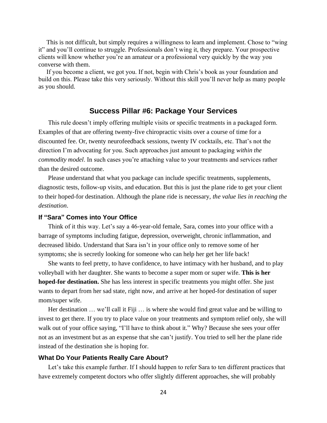This is not difficult, but simply requires a willingness to learn and implement. Chose to "wing it" and you'll continue to struggle. Professionals don't wing it, they prepare. Your prospective clients will know whether you're an amateur or a professional very quickly by the way you converse with them.

 If you become a client, we got you. If not, begin with Chris's book as your foundation and build on this. Please take this very seriously. Without this skill you'll never help as many people as you should.

#### **Success Pillar #6: Package Your Services**

This rule doesn't imply offering multiple visits or specific treatments in a packaged form. Examples of that are offering twenty-five chiropractic visits over a course of time for a discounted fee. Or, twenty neurofeedback sessions, twenty IV cocktails, etc. That's not the direction I'm advocating for you. Such approaches just amount to packaging *within the commodity model*. In such cases you're attaching value to your treatments and services rather than the desired outcome.

Please understand that what you package can include specific treatments, supplements, diagnostic tests, follow-up visits, and education. But this is just the plane ride to get your client to their hoped-for destination. Although the plane ride is necessary, *the value lies in reaching the destination*.

#### **If "Sara" Comes into Your Office**

Think of it this way. Let's say a 46-year-old female, Sara, comes into your office with a barrage of symptoms including fatigue, depression, overweight, chronic inflammation, and decreased libido. Understand that Sara isn't in your office only to remove some of her symptoms; she is secretly looking for someone who can help her get her life back!

She wants to feel pretty, to have confidence, to have intimacy with her husband, and to play volleyball with her daughter. She wants to become a super mom or super wife. **This is her hoped-for destination.** She has less interest in specific treatments you might offer. She just wants to depart from her sad state, right now, and arrive at her hoped-for destination of super mom/super wife.

Her destination ... we'll call it Fiji ... is where she would find great value and be willing to invest to get there. If you try to place value on your treatments and symptom relief only, she will walk out of your office saying, "I'll have to think about it." Why? Because she sees your offer not as an investment but as an expense that she can't justify. You tried to sell her the plane ride instead of the destination she is hoping for.

#### **What Do Your Patients Really Care About?**

Let's take this example further. If I should happen to refer Sara to ten different practices that have extremely competent doctors who offer slightly different approaches, she will probably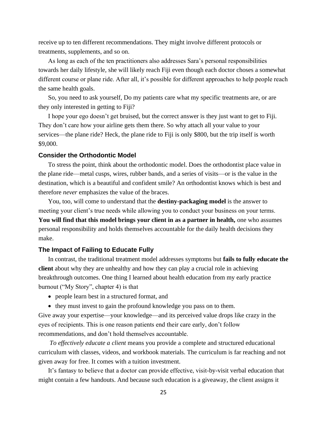receive up to ten different recommendations. They might involve different protocols or treatments, supplements, and so on.

As long as each of the ten practitioners also addresses Sara's personal responsibilities towards her daily lifestyle, she will likely reach Fiji even though each doctor choses a somewhat different course or plane ride. After all, it's possible for different approaches to help people reach the same health goals.

So, you need to ask yourself, Do my patients care what my specific treatments are, or are they only interested in getting to Fiji?

I hope your ego doesn't get bruised, but the correct answer is they just want to get to Fiji. They don't care how your airline gets them there. So why attach all your value to your services—the plane ride? Heck, the plane ride to Fiji is only \$800, but the trip itself is worth \$9,000.

#### **Consider the Orthodontic Model**

To stress the point, think about the orthodontic model. Does the orthodontist place value in the plane ride—metal cusps, wires, rubber bands, and a series of visits—or is the value in the destination, which is a beautiful and confident smile? An orthodontist knows which is best and therefore *never* emphasizes the value of the braces.

You, too, will come to understand that the **destiny-packaging model** is the answer to meeting your client's true needs while allowing you to conduct your business on your terms. You will find that this model brings your client in as a partner in health, one who assumes personal responsibility and holds themselves accountable for the daily health decisions they make.

#### **The Impact of Failing to Educate Fully**

In contrast, the traditional treatment model addresses symptoms but **fails to fully educate the client** about why they are unhealthy and how they can play a crucial role in achieving breakthrough outcomes. One thing I learned about health education from my early practice burnout ("My Story", chapter 4) is that

- people learn best in a structured format, and
- they must invest to gain the profound knowledge you pass on to them.

Give away your expertise—your knowledge—and its perceived value drops like crazy in the eyes of recipients. This is one reason patients end their care early, don't follow recommendations, and don't hold themselves accountable.

*To effectively educate a client* means you provide a complete and structured educational curriculum with classes, videos, and workbook materials. The curriculum is far reaching and not given away for free. It comes with a tuition investment.

It's fantasy to believe that a doctor can provide effective, visit-by-visit verbal education that might contain a few handouts. And because such education is a giveaway, the client assigns it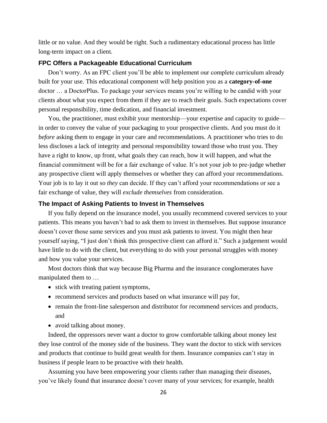little or no value. And they would be right. Such a rudimentary educational process has little long-term impact on a client.

#### **FPC Offers a Packageable Educational Curriculum**

Don't worry. As an FPC client you'll be able to implement our complete curriculum already built for your use. This educational component will help position you as a **category-of-one** doctor … a DoctorPlus. To package your services means you're willing to be candid with your clients about what you expect from them if they are to reach their goals. Such expectations cover personal responsibility, time dedication, and financial investment.

You, the practitioner, must exhibit your mentorship—your expertise and capacity to guide in order to convey the value of your packaging to your prospective clients. And you must do it *before* asking them to engage in your care and recommendations. A practitioner who tries to do less discloses a lack of integrity and personal responsibility toward those who trust you. They have a right to know, up front, what goals they can reach, how it will happen, and what the financial commitment will be for a fair exchange of value. It's not your job to pre-judge whether any prospective client will apply themselves or whether they can afford your recommendations. Your job is to lay it out so *they* can decide. If they can't afford your recommendations or see a fair exchange of value, they will *exclude themselves* from consideration.

#### **The Impact of Asking Patients to Invest in Themselves**

If you fully depend on the insurance model, you usually recommend covered services to your patients. This means you haven't had to ask them to invest in themselves. But suppose insurance doesn't cover those same services and you must ask patients to invest. You might then hear yourself saying, "I just don't think this prospective client can afford it." Such a judgement would have little to do with the client, but everything to do with your personal struggles with money and how you value your services.

Most doctors think that way because Big Pharma and the insurance conglomerates have manipulated them to …

- stick with treating patient symptoms,
- recommend services and products based on what insurance will pay for,
- remain the front-line salesperson and distributor for recommend services and products, and
- avoid talking about money.

Indeed, the oppressors never want a doctor to grow comfortable talking about money lest they lose control of the money side of the business*.* They want the doctor to stick with services and products that continue to build great wealth for them. Insurance companies can't stay in business if people learn to be proactive with their health.

Assuming you have been empowering your clients rather than managing their diseases, you've likely found that insurance doesn't cover many of your services; for example, health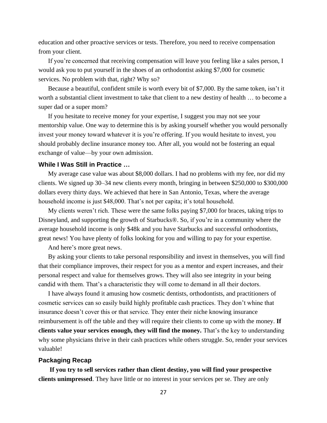education and other proactive services or tests. Therefore, you need to receive compensation from your client.

If you're concerned that receiving compensation will leave you feeling like a sales person, I would ask you to put yourself in the shoes of an orthodontist asking \$7,000 for cosmetic services. No problem with that, right? Why so?

Because a beautiful, confident smile is worth every bit of \$7,000. By the same token, isn't it worth a substantial client investment to take that client to a new destiny of health … to become a super dad or a super mom?

If you hesitate to receive money for your expertise, I suggest you may not see your mentorship value. One way to determine this is by asking yourself whether you would personally invest your money toward whatever it is you're offering. If you would hesitate to invest, you should probably decline insurance money too. After all, you would not be fostering an equal exchange of value—by your own admission.

#### **While I Was Still in Practice …**

My average case value was about \$8,000 dollars. I had no problems with my fee, nor did my clients. We signed up 30–34 new clients every month, bringing in between \$250,000 to \$300,000 dollars every thirty days. We achieved that here in San Antonio, Texas, where the average household income is just \$48,000. That's not per capita; it's total household.

My clients weren't rich. These were the same folks paying \$7,000 for braces, taking trips to Disneyland, and supporting the growth of Starbucks®. So, if you're in a community where the average household income is only \$48k and you have Starbucks and successful orthodontists, great news! You have plenty of folks looking for you and willing to pay for your expertise.

And here's more great news.

By asking your clients to take personal responsibility and invest in themselves, you will find that their compliance improves, their respect for you as a mentor and expert increases, and their personal respect and value for themselves grows. They will also see integrity in your being candid with them. That's a characteristic they will come to demand in all their doctors.

I have always found it amusing how cosmetic dentists, orthodontists, and practitioners of cosmetic services can so easily build highly profitable cash practices. They don't whine that insurance doesn't cover this or that service. They enter their niche knowing insurance reimbursement is off the table and they will require their clients to come up with the money. **If clients value your services enough, they will find the money.** That's the key to understanding why some physicians thrive in their cash practices while others struggle. So, render your services valuable!

#### **Packaging Recap**

**If you try to sell services rather than client destiny, you will find your prospective clients unimpressed**. They have little or no interest in your services per se. They are only

27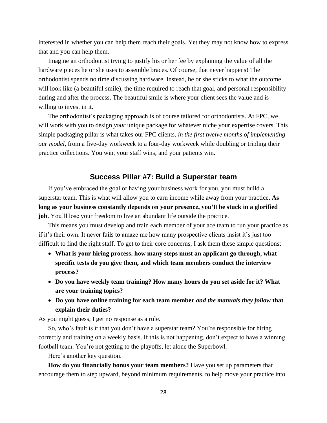interested in whether you can help them reach their goals. Yet they may not know how to express that and you can help them.

Imagine an orthodontist trying to justify his or her fee by explaining the value of all the hardware pieces he or she uses to assemble braces. Of course, that never happens! The orthodontist spends no time discussing hardware. Instead, he or she sticks to what the outcome will look like (a beautiful smile), the time required to reach that goal, and personal responsibility during and after the process. The beautiful smile is where your client sees the value and is willing to invest in it.

The orthodontist's packaging approach is of course tailored for orthodontists. At FPC, we will work with you to design *your* unique package for whatever niche your expertise covers. This simple packaging pillar is what takes our FPC clients, *in the first twelve months of implementing our model*, from a five-day workweek to a four-day workweek while doubling or tripling their practice collections. You win, your staff wins, and your patients win.

#### **Success Pillar #7: Build a Superstar team**

If you've embraced the goal of having your business work for you, you must build a superstar team. This is what will allow you to earn income while away from your practice. **As long as your business constantly depends on your presence, you'll be stuck in a glorified job.** You'll lose your freedom to live an abundant life outside the practice.

This means you must develop and train each member of your ace team to run your practice as if it's their own. It never fails to amaze me how many prospective clients insist it's just too difficult to find the right staff. To get to their core concerns, I ask them these simple questions:

- **What is your hiring process, how many steps must an applicant go through, what specific tests do you give them, and which team members conduct the interview process?**
- **Do you have weekly team training? How many hours do you set aside for it? What are your training topics?**
- **Do you have online training for each team member** *and the manuals they follow* **that explain their duties?**

As you might guess, I get no response as a rule.

So, who's fault is it that you don't have a superstar team? You're responsible for hiring correctly and training on a weekly basis. If this is not happening, don't expect to have a winning football team. You're not getting to the playoffs, let alone the Superbowl.

Here's another key question.

**How do you financially bonus your team members?** Have you set up parameters that encourage them to step upward, beyond minimum requirements, to help move your practice into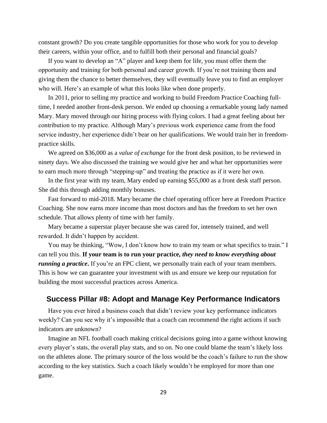constant growth? Do you create tangible opportunities for those who work for you to develop their careers, within your office, and to fulfill both their personal and financial goals?

If you want to develop an "A" player and keep them for life, you must offer them the opportunity and training for both personal and career growth. If you're not training them and giving them the chance to better themselves, they will eventually leave you to find an employer who will. Here's an example of what this looks like when done properly.

In 2011, prior to selling my practice and working to build Freedom Practice Coaching fulltime, I needed another front-desk person. We ended up choosing a remarkable young lady named Mary. Mary moved through our hiring process with flying colors. I had a great feeling about her contribution to my practice. Although Mary's previous work experience came from the food service industry, her experience didn't bear on her qualifications. We would train her in freedompractice skills.

We agreed on \$36,000 as a *value of exchange* for the front desk position, to be reviewed in ninety days. We also discussed the training we would give her and what her opportunities were to earn much more through "stepping-up" and treating the practice as if it were her own.

In the first year with my team, Mary ended up earning \$55,000 as a front desk staff person. She did this through adding monthly bonuses.

Fast forward to mid-2018. Mary became the chief operating officer here at Freedom Practice Coaching. She now earns more income than most doctors and has the freedom to set her own schedule. That allows plenty of time with her family.

Mary became a superstar player because she was cared for, intensely trained, and well rewarded. It didn't happen by accident.

You may be thinking, "Wow, I don't know how to train my team or what specifics to train." I can tell you this. **If your team is to run your practice,** *they need to know everything about running a practice*. If you're an FPC client, we personally train each of your team members. This is how we can guarantee your investment with us and ensure we keep our reputation for building the most successful practices across America.

#### **Success Pillar #8: Adopt and Manage Key Performance Indicators**

Have you ever hired a business coach that didn't review your key performance indicators weekly? Can you see why it's impossible that a coach can recommend the right actions if such indicators are unknown?

Imagine an NFL football coach making critical decisions going into a game without knowing every player's stats, the overall play stats, and so on. No one could blame the team's likely loss on the athletes alone. The primary source of the loss would be the coach's failure to run the show according to the key statistics. Such a coach likely wouldn't be employed for more than one game.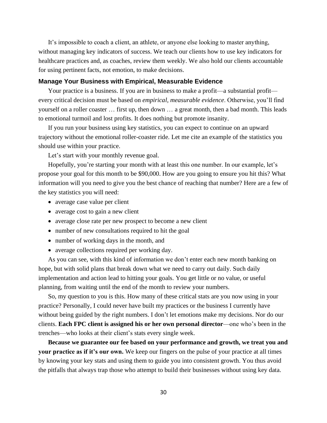It's impossible to coach a client, an athlete, or anyone else looking to master anything, without managing key indicators of success. We teach our clients how to use key indicators for healthcare practices and, as coaches, review them weekly. We also hold our clients accountable for using pertinent facts, not emotion, to make decisions.

#### **Manage Your Business with Empirical, Measurable Evidence**

Your practice is a business. If you are in business to make a profit—a substantial profit every critical decision must be based on *empirical, measurable evidence*. Otherwise, you'll find yourself on a roller coaster … first up, then down … a great month, then a bad month. This leads to emotional turmoil and lost profits. It does nothing but promote insanity.

If you run your business using key statistics, you can expect to continue on an upward trajectory without the emotional roller-coaster ride. Let me cite an example of the statistics you should use within your practice.

Let's start with your monthly revenue goal.

Hopefully, you're starting your month with at least this one number. In our example, let's propose your goal for this month to be \$90,000. How are you going to ensure you hit this? What information will you need to give you the best chance of reaching that number? Here are a few of the key statistics you will need:

- average case value per client
- average cost to gain a new client
- average close rate per new prospect to become a new client
- number of new consultations required to hit the goal
- number of working days in the month, and
- average collections required per working day.

As you can see, with this kind of information we don't enter each new month banking on hope, but with solid plans that break down what we need to carry out daily. Such daily implementation and action lead to hitting your goals. You get little or no value, or useful planning, from waiting until the end of the month to review your numbers.

So, my question to you is this. How many of these critical stats are you now using in your practice? Personally, I could never have built my practices or the business I currently have without being guided by the right numbers. I don't let emotions make my decisions. Nor do our clients. **Each FPC client is assigned his or her own personal director**—one who's been in the trenches—who looks at their client's stats every single week.

**Because we guarantee our fee based on your performance and growth, we treat you and your practice as if it's our own.** We keep our fingers on the pulse of your practice at all times by knowing your key stats and using them to guide you into consistent growth. You thus avoid the pitfalls that always trap those who attempt to build their businesses without using key data.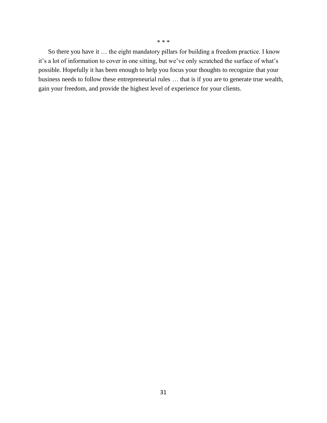So there you have it … the eight mandatory pillars for building a freedom practice. I know it's a lot of information to cover in one sitting, but we've only scratched the surface of what's possible. Hopefully it has been enough to help you focus your thoughts to recognize that your business needs to follow these entrepreneurial rules … that is if you are to generate true wealth, gain your freedom, and provide the highest level of experience for your clients.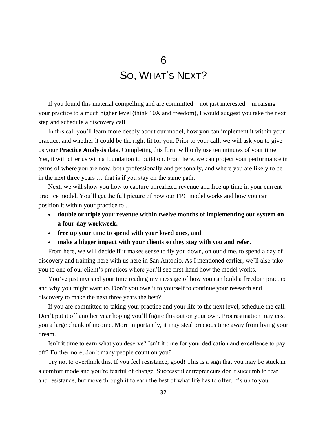## 6

# SO, WHAT'S NEXT?

If you found this material compelling and are committed—not just interested—in raising your practice to a much higher level (think 10X and freedom), I would suggest you take the next step and schedule a discovery call.

In this call you'll learn more deeply about our model, how you can implement it within your practice, and whether it could be the right fit for you. Prior to your call, we will ask you to give us your **Practice Analysis** data. Completing this form will only use ten minutes of your time. Yet, it will offer us with a foundation to build on. From here, we can project your performance in terms of where you are now, both professionally and personally, and where you are likely to be in the next three years … that is if you stay on the same path.

Next, we will show you how to capture unrealized revenue and free up time in your current practice model. You'll get the full picture of how our FPC model works and how you can position it within your practice to …

- **double or triple your revenue within twelve months of implementing our system on a four-day workweek,**
- **free up your time to spend with your loved ones, and**
- **make a bigger impact with your clients so they stay with you and refer.**

From here, we will decide if it makes sense to fly you down, on our dime, to spend a day of discovery and training here with us here in San Antonio. As I mentioned earlier, we'll also take you to one of our client's practices where you'll see first-hand how the model works.

You've just invested your time reading my message of how you can build a freedom practice and why you might want to. Don't you owe it to yourself to continue your research and discovery to make the next three years the best?

If you are committed to taking your practice and your life to the next level, schedule the call. Don't put it off another year hoping you'll figure this out on your own. Procrastination may cost you a large chunk of income. More importantly, it may steal precious time away from living your dream.

Isn't it time to earn what you deserve? Isn't it time for your dedication and excellence to pay off? Furthermore, don't many people count on you?

Try not to overthink this. If you feel resistance, good! This is a sign that you may be stuck in a comfort mode and you're fearful of change. Successful entrepreneurs don't succumb to fear and resistance, but move through it to earn the best of what life has to offer. It's up to you.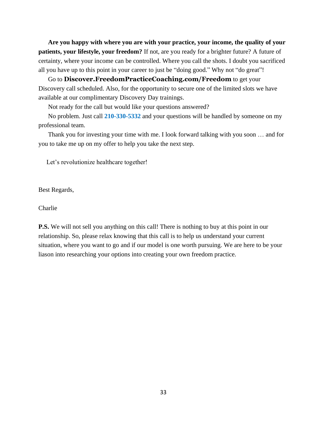**Are you happy with where you are with your practice, your income, the quality of your patients, your lifestyle, your freedom?** If not, are you ready for a brighter future? A future of certainty, where your income can be controlled. Where you call the shots. I doubt you sacrificed all you have up to this point in your career to just be "doing good." Why not "do great"!

Go to **[Discover.FreedomPracticeCoaching.com/Freedom](https://discover.freedompracticecoaching.com/freedom)** to get your Discovery call scheduled. Also, for the opportunity to secure one of the limited slots we have available at our complimentary Discovery Day trainings.

Not ready for the call but would like your questions answered?

No problem. Just call **210-330-5332** and your questions will be handled by someone on my professional team.

Thank you for investing your time with me. I look forward talking with you soon … and for you to take me up on my offer to help you take the next step.

Let's revolutionize healthcare together!

Best Regards,

**Charlie** 

**P.S.** We will not sell you anything on this call! There is nothing to buy at this point in our relationship. So, please relax knowing that this call is to help us understand your current situation, where you want to go and if our model is one worth pursuing. We are here to be your liason into researching your options into creating your own freedom practice.